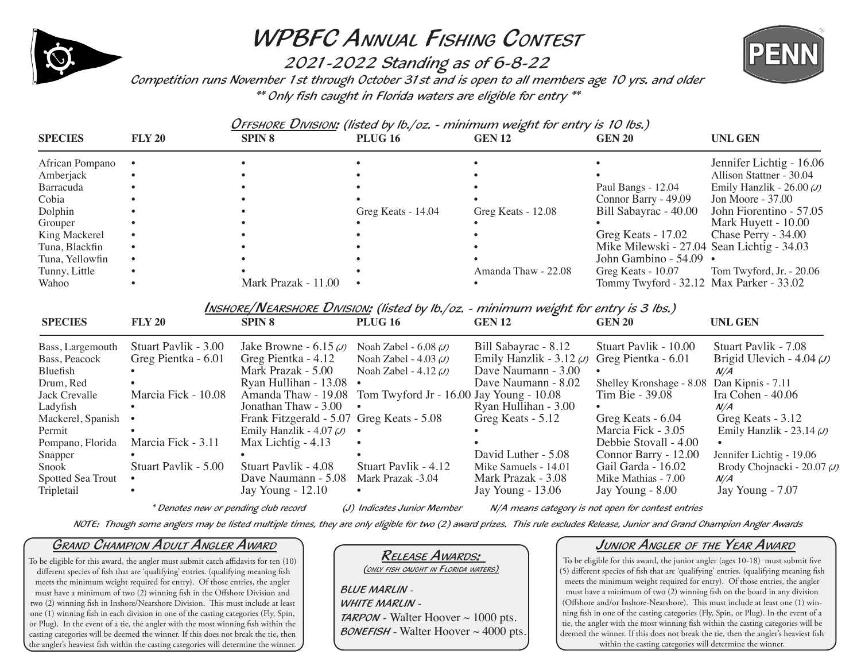

# WPBFC Annual Fishing Contest

2021-2022 Standing as of 6-8-22 Competition runs November 1st through October 31st and is open to all members age 10 yrs. and older \*\* Only fish caught in Florida waters are eligible for entry \*\*



Offshore Division: (listed by lb./oz. - minimum weight for entry is 10 lbs.)

| <b>SPECIES</b>  | <b>FLY 20</b> | <b>SPIN 8</b>       | <b>PLUG 16</b>     | <b>GEN 12</b>       | <b>GEN 20</b>                            | <b>UNL GEN</b>                             |
|-----------------|---------------|---------------------|--------------------|---------------------|------------------------------------------|--------------------------------------------|
| African Pompano |               |                     |                    |                     |                                          | Jennifer Lichtig - 16.06                   |
| Amberjack       |               |                     |                    |                     |                                          | Allison Stattner - 30.04                   |
| Barracuda       |               |                     |                    |                     | Paul Bangs - 12.04                       | Emily Hanzlik - $26.00 \, \omega$          |
| Cobia           |               |                     |                    |                     | Connor Barry - 49.09                     | Jon Moore - 37.00                          |
| Dolphin         |               |                     | Greg Keats - 14.04 | Greg Keats - 12.08  | Bill Sabayrac - 40.00                    | John Fiorentino - 57.05                    |
| Grouper         |               |                     |                    |                     |                                          | Mark Huyett - 10.00                        |
| King Mackerel   |               |                     |                    |                     | Greg Keats $-17.02$                      | Chase Perry - 34.00                        |
| Tuna, Blackfin  |               |                     |                    |                     |                                          | Mike Milewski - 27.04 Sean Lichtig - 34.03 |
| Tuna, Yellowfin |               |                     |                    |                     | John Gambino - 54.09 •                   |                                            |
| Tunny, Little   |               |                     |                    | Amanda Thaw - 22.08 | Greg Keats $-10.07$                      | Tom Twyford, Jr. $-20.06$                  |
| Wahoo           |               | Mark Prazak - 11.00 |                    |                     | Tommy Twyford - 32.12 Max Parker - 33.02 |                                            |

Inshore/Nearshore Division: (listed by lb./oz. - minimum weight for entry is 3 lbs.)

| <b>SPECIES</b>      | <b>FLY 20</b>        | <b>SPIN 8</b>                             | <b>PLUG 16</b>                                               | <b>GEN 12</b>                                     | <b>GEN 20</b>                              | <b>UNL GEN</b>                    |
|---------------------|----------------------|-------------------------------------------|--------------------------------------------------------------|---------------------------------------------------|--------------------------------------------|-----------------------------------|
| Bass, Largemouth    | Stuart Pavlik - 3.00 | Jake Browne - $6.15 \omega$               | Noah Zabel - $6.08 \, \omega$                                | Bill Sabayrac - 8.12                              | Stuart Pavlik - 10.00                      | Stuart Pavlik - 7.08              |
| Bass, Peacock       | Greg Pientka - 6.01  | Greg Pientka - 4.12                       | Noah Zabel - $4.03 \, (J)$                                   | Emily Hanzlik - $3.12 \omega$ Greg Pientka - 6.01 |                                            | Brigid Ulevich - $4.04 \, (J)$    |
| Bluefish            |                      | Mark Prazak - 5.00                        | Noah Zabel - $4.12 \omega$                                   | Dave Naumann - 3.00                               | $\bullet$                                  | N/A                               |
| Drum, Red           |                      | Ryan Hullihan - 13.08                     |                                                              | Dave Naumann - 8.02                               | Shelley Kronshage - 8.08 Dan Kipnis - 7.11 |                                   |
| Jack Crevalle       | Marcia Fick - 10.08  |                                           | Amanda Thaw - 19.08 Tom Twyford Jr - 16.00 Jay Young - 10.08 |                                                   | Tim Bie - 39.08                            | Ira Cohen - 40.06                 |
| Ladyfish            |                      | Jonathan Thaw $-3.00 \cdot \cdot$         |                                                              | Ryan Hullihan - 3.00                              |                                            | N/A                               |
| Mackerel, Spanish • |                      | Frank Fitzgerald - 5.07 Greg Keats - 5.08 |                                                              | Greg Keats - 5.12                                 | Greg Keats - 6.04                          | Greg Keats - 3.12                 |
| Permit              |                      | Emily Hanzlik - 4.07 $(J)$ •              |                                                              |                                                   | Marcia Fick - 3.05                         | Emily Hanzlik - $23.14 \, \omega$ |
| Pompano, Florida    | Marcia Fick - 3.11   | Max Lichtig $-4.13$                       |                                                              |                                                   | Debbie Stovall - 4.00                      |                                   |
| Snapper             |                      |                                           |                                                              | David Luther - 5.08                               | Connor Barry - 12.00                       | Jennifer Lichtig - 19.06          |
| Snook               | Stuart Pavlik - 5.00 | Stuart Paylik - 4.08                      | Stuart Pavlik - 4.12                                         | Mike Samuels - 14.01                              | Gail Garda - 16.02                         | Brody Chojnacki - 20.07 $\omega$  |
| Spotted Sea Trout   |                      | Dave Naumann - 5.08                       | Mark Prazak -3.04                                            | Mark Prazak - 3.08                                | Mike Mathias - 7.00                        | N/A                               |
| Tripletail          | $\bullet$            | Jay Young $-12.10$                        | $\bullet$                                                    | Jay Young - 13.06                                 | Jay Young - 8.00                           | Jay Young - 7.07                  |

\* Denotes new or pending club record (J) Indicates Junior Member N/A means category is not open for contest entries

NOTE: Though some anglers may be listed multiple times, they are only eligible for two (2) award prizes. This rule excludes Release, Junior and Grand Champion Angler Awards

### Grand Champion Adult Angler Award

To be eligible for this award, the angler must submit catch affidavits for ten (10) different species of fish that are 'qualifying' entries. (qualifying meaning fish meets the minimum weight required for entry). Of those entries, the angler must have a minimum of two (2) winning fish in the Offshore Division and two (2) winning fish in Inshore/Nearshore Division. This must include at least one (1) winning fish in each division in one of the casting categories (Fly, Spin, or Plug). In the event of a tie, the angler with the most winning fish within the casting categories will be deemed the winner. If this does not break the tie, then the angler's heaviest fish within the casting categories will determine the winner.

### <u>RELEASE AWARDS:</u><br>(only fish caught in Florida waters)

BLUE MARLIN -

WHITE MARLIN -

**TARPON** - Walter Hoover  $\sim 1000$  pts. **BONEFISH** - Walter Hoover  $\sim$  4000 pts.

### Junior Angler of the Year Award

To be eligible for this award, the junior angler (ages 10-18) must submit five (5) different species of fish that are 'qualifying' entries. (qualifying meaning fish meets the minimum weight required for entry). Of those entries, the angler must have a minimum of two (2) winning fish on the board in any division (Offshore and/or Inshore-Nearshore). This must include at least one (1) winning fish in one of the casting categories (Fly, Spin, or Plug). In the event of a tie, the angler with the most winning fish within the casting categories will be deemed the winner. If this does not break the tie, then the angler's heaviest fish within the casting categories will determine the winner.